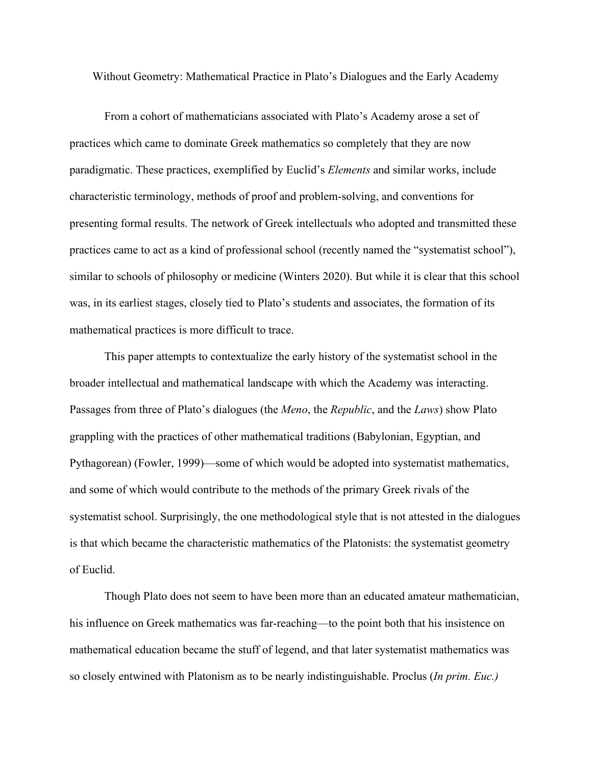Without Geometry: Mathematical Practice in Plato's Dialogues and the Early Academy

From a cohort of mathematicians associated with Plato's Academy arose a set of practices which came to dominate Greek mathematics so completely that they are now paradigmatic. These practices, exemplified by Euclid's *Elements* and similar works, include characteristic terminology, methods of proof and problem-solving, and conventions for presenting formal results. The network of Greek intellectuals who adopted and transmitted these practices came to act as a kind of professional school (recently named the "systematist school"), similar to schools of philosophy or medicine (Winters 2020). But while it is clear that this school was, in its earliest stages, closely tied to Plato's students and associates, the formation of its mathematical practices is more difficult to trace.

This paper attempts to contextualize the early history of the systematist school in the broader intellectual and mathematical landscape with which the Academy was interacting. Passages from three of Plato's dialogues (the *Meno*, the *Republic*, and the *Laws*) show Plato grappling with the practices of other mathematical traditions (Babylonian, Egyptian, and Pythagorean) (Fowler, 1999)—some of which would be adopted into systematist mathematics, and some of which would contribute to the methods of the primary Greek rivals of the systematist school. Surprisingly, the one methodological style that is not attested in the dialogues is that which became the characteristic mathematics of the Platonists: the systematist geometry of Euclid.

Though Plato does not seem to have been more than an educated amateur mathematician, his influence on Greek mathematics was far-reaching—to the point both that his insistence on mathematical education became the stuff of legend, and that later systematist mathematics was so closely entwined with Platonism as to be nearly indistinguishable. Proclus (*In prim. Euc.)*